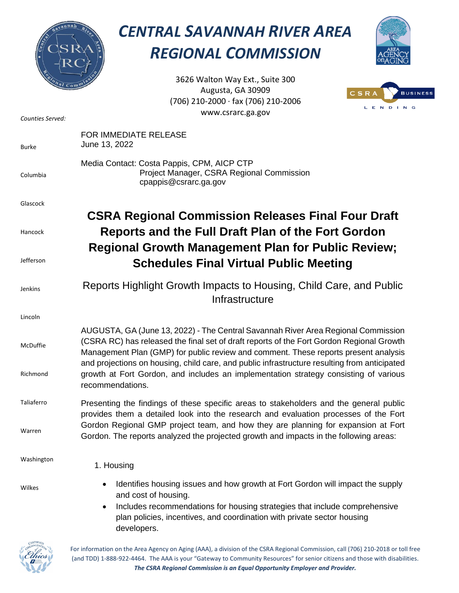

## *CENTRAL SAVANNAH RIVER AREA REGIONAL COMMISSION*



3626 Walton Way Ext., Suite 300 Augusta, GA 30909 (706) 210-2000 ∙ fax (706) 210-2006 www.csrarc.ga.gov



| Counties Served:     | www.csrarc.ga.gov                                                                                                                                                                                                                                                                                                                                                                                                                                                                |
|----------------------|----------------------------------------------------------------------------------------------------------------------------------------------------------------------------------------------------------------------------------------------------------------------------------------------------------------------------------------------------------------------------------------------------------------------------------------------------------------------------------|
| <b>Burke</b>         | FOR IMMEDIATE RELEASE<br>June 13, 2022                                                                                                                                                                                                                                                                                                                                                                                                                                           |
| Columbia             | Media Contact: Costa Pappis, CPM, AICP CTP<br>Project Manager, CSRA Regional Commission<br>cpappis@csrarc.ga.gov                                                                                                                                                                                                                                                                                                                                                                 |
| Glascock             |                                                                                                                                                                                                                                                                                                                                                                                                                                                                                  |
| Hancock<br>Jefferson | <b>CSRA Regional Commission Releases Final Four Draft</b><br>Reports and the Full Draft Plan of the Fort Gordon<br><b>Regional Growth Management Plan for Public Review;</b><br><b>Schedules Final Virtual Public Meeting</b>                                                                                                                                                                                                                                                    |
| Jenkins              | Reports Highlight Growth Impacts to Housing, Child Care, and Public<br>Infrastructure                                                                                                                                                                                                                                                                                                                                                                                            |
| Lincoln              |                                                                                                                                                                                                                                                                                                                                                                                                                                                                                  |
| McDuffie<br>Richmond | AUGUSTA, GA (June 13, 2022) - The Central Savannah River Area Regional Commission<br>(CSRA RC) has released the final set of draft reports of the Fort Gordon Regional Growth<br>Management Plan (GMP) for public review and comment. These reports present analysis<br>and projections on housing, child care, and public infrastructure resulting from anticipated<br>growth at Fort Gordon, and includes an implementation strategy consisting of various<br>recommendations. |
| Taliaferro           | Presenting the findings of these specific areas to stakeholders and the general public                                                                                                                                                                                                                                                                                                                                                                                           |
| Warren               | provides them a detailed look into the research and evaluation processes of the Fort<br>Gordon Regional GMP project team, and how they are planning for expansion at Fort<br>Gordon. The reports analyzed the projected growth and impacts in the following areas:                                                                                                                                                                                                               |
| Washington           | 1. Housing                                                                                                                                                                                                                                                                                                                                                                                                                                                                       |
| Wilkes               | Identifies housing issues and how growth at Fort Gordon will impact the supply<br>$\bullet$<br>and cost of housing.<br>Includes recommendations for housing strategies that include comprehensive<br>$\bullet$<br>plan policies, incentives, and coordination with private sector housing<br>developers.                                                                                                                                                                         |



For information on the Area Agency on Aging (AAA), a division of the CSRA Regional Commission, call (706) 210-2018 or toll free (and TDD) 1-888-922-4464. The AAA is your "Gateway to Community Resources" for senior citizens and those with disabilities. *The CSRA Regional Commission is an Equal Opportunity Employer and Provider.*